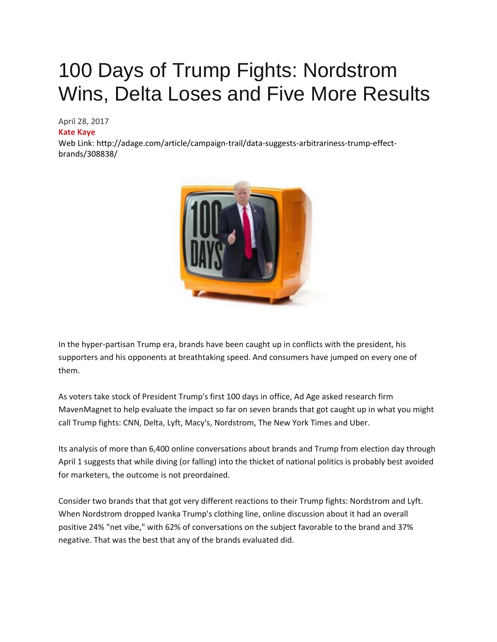# 100 Days of Trump Fights: Nordstrom Wins, Delta Loses and Five More Results

April 28, 2017

#### **[Kate Kaye](http://www.autonews.com/staff/Dave-Guilford)**

Web Link: http://adage.com/article/campaign-trail/data-suggests-arbitrariness-trump-effectbrands/308838/



In the hyper-partisan Trump era, brands have been caught up in conflicts with the president, his supporters and his opponents at breathtaking speed. And consumers have jumped on every one of them.

As voters take stock of President Trump's first 100 days in office, Ad Age asked research firm MavenMagnet to help evaluate the impact so far on seven brands that got caught up in what you might call Trump fights: CNN, Delta, Lyft, Macy's, Nordstrom, The New York Times and Uber.

Its analysis of more than 6,400 online conversations about brands and Trump from election day through April 1 suggests that while diving (or falling) into the thicket of national politics is probably best avoided for marketers, the outcome is not preordained.

Consider two brands that that got very different reactions to their Trump fights: Nordstrom and Lyft. When Nordstrom dropped Ivanka Trump's clothing line, online discussion about it had an overall positive 24% "net vibe," with 62% of conversations on the subject favorable to the brand and 37% negative. That was the best that any of the brands evaluated did.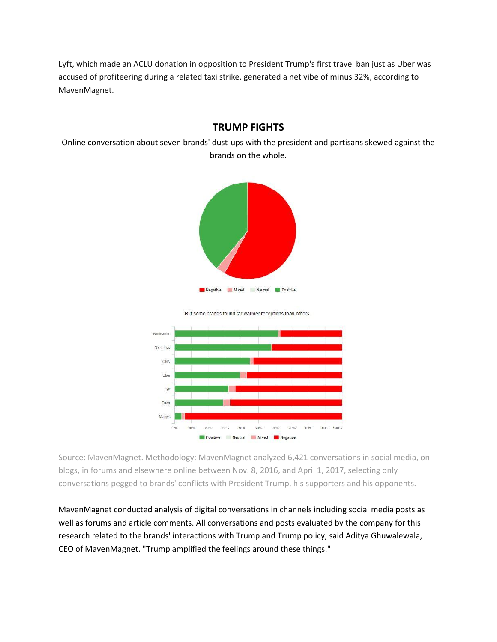Lyft, which made an ACLU donation in opposition to President Trump's first travel ban just as Uber was accused of profiteering during a related taxi strike, generated a net vibe of minus 32%, according to MavenMagnet.

#### **TRUMP FIGHTS**

Online conversation about seven brands' dust-ups with the president and partisans skewed against the brands on the whole.



But some brands found far warmer receptions than others.



Source: MavenMagnet. Methodology: MavenMagnet analyzed 6,421 conversations in social media, on blogs, in forums and elsewhere online between Nov. 8, 2016, and April 1, 2017, selecting only conversations pegged to brands' conflicts with President Trump, his supporters and his opponents.

MavenMagnet conducted analysis of digital conversations in channels including social media posts as well as forums and article comments. All conversations and posts evaluated by the company for this research related to the brands' interactions with Trump and Trump policy, said Aditya Ghuwalewala, CEO of MavenMagnet. "Trump amplified the feelings around these things."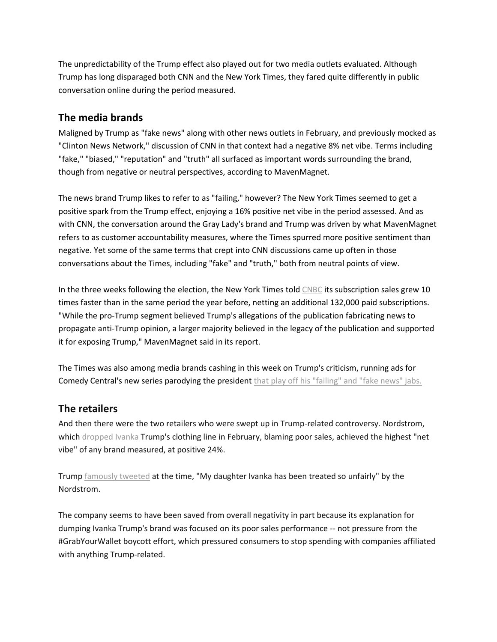The unpredictability of the Trump effect also played out for two media outlets evaluated. Although Trump has long disparaged both CNN and the New York Times, they fared quite differently in public conversation online during the period measured.

#### **The media brands**

Maligned by Trump as "fake news" along with other news outlets in February, and previously mocked as "Clinton News Network," discussion of CNN in that context had a negative 8% net vibe. Terms including "fake," "biased," "reputation" and "truth" all surfaced as important words surrounding the brand, though from negative or neutral perspectives, according to MavenMagnet.

The news brand Trump likes to refer to as "failing," however? The New York Times seemed to get a positive spark from the Trump effect, enjoying a 16% positive net vibe in the period assessed. And as with CNN, the conversation around the Gray Lady's brand and Trump was driven by what MavenMagnet refers to as customer accountability measures, where the Times spurred more positive sentiment than negative. Yet some of the same terms that crept into CNN discussions came up often in those conversations about the Times, including "fake" and "truth," both from neutral points of view.

In the three weeks following the election, the New York Times told [CNBC](http://adage.com/lookbook/listing/cnbc/12777) its subscription sales grew 10 times faster than in the same period the year before, netting an additional 132,000 paid subscriptions. "While the pro-Trump segment believed Trump's allegations of the publication fabricating news to propagate anti-Trump opinion, a larger majority believed in the legacy of the publication and supported it for exposing Trump," MavenMagnet said in its report.

The Times was also among media brands cashing in this week on Trump's criticism, running ads for Comedy Central's new series parodying the president [that play off his "failing" and "fake news" jabs.](http://adage.com/article/digital/failing-york-times-comedy-central-ads/308824/)

## **The retailers**

And then there were the two retailers who were swept up in Trump-related controversy. Nordstrom, which [dropped Ivanka](http://adage.com/article/cmo-strategy/nordstrom-cutting-ivanka-trump-s-brand-due-poor-sales/307831/) Trump's clothing line in February, blaming poor sales, achieved the highest "net vibe" of any brand measured, at positive 24%.

Trump [famously tweeted](http://adage.com/article/cmo-strategy/trump-slams-nordstrom-dropping-daughter-ivanka-s-brand/307908/) at the time, "My daughter Ivanka has been treated so unfairly" by the Nordstrom.

The company seems to have been saved from overall negativity in part because its explanation for dumping Ivanka Trump's brand was focused on its poor sales performance -- not pressure from the #GrabYourWallet boycott effort, which pressured consumers to stop spending with companies affiliated with anything Trump-related.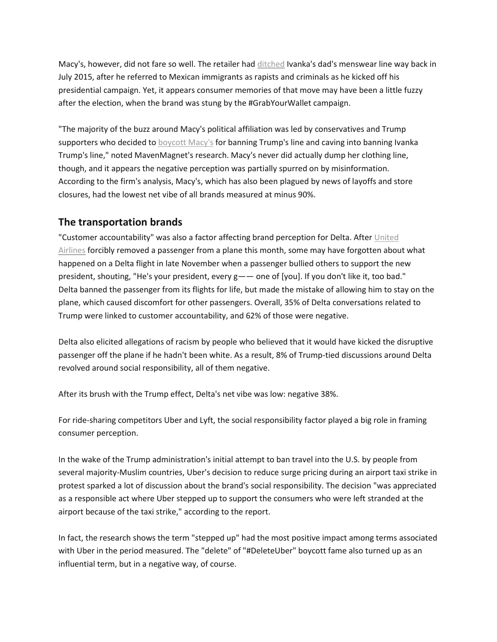Macy's, however, did not fare so well. The retailer had [ditched](http://adage.com/article/cmo-strategy/macy-s-cuts-ties-donald-trump-anti-immigrant-remarks/299306/) Ivanka's dad's menswear line way back in July 2015, after he referred to Mexican immigrants as rapists and criminals as he kicked off his presidential campaign. Yet, it appears consumer memories of that move may have been a little fuzzy after the election, when the brand was stung by the #GrabYourWallet campaign.

"The majority of the buzz around Macy's political affiliation was led by conservatives and Trump supporters who decided to [boycott Macy's](http://adage.com/article/cmo-strategy/macy-s-attempts-survive-a-divided-nation/308047/) for banning Trump's line and caving into banning Ivanka Trump's line," noted MavenMagnet's research. Macy's never did actually dump her clothing line, though, and it appears the negative perception was partially spurred on by misinformation. According to the firm's analysis, Macy's, which has also been plagued by news of layoffs and store closures, had the lowest net vibe of all brands measured at minus 90%.

## **The transportation brands**

"Customer accountability" was also a factor affecting brand perception for Delta. After [United](http://adage.com/article/agency-news/united-airlines-consumer-perception-plunges-lowest-level/308649/)  [Airlines](http://adage.com/article/agency-news/united-airlines-consumer-perception-plunges-lowest-level/308649/) forcibly removed a passenger from a plane this month, some may have forgotten about what happened on a Delta flight in late November when a passenger bullied others to support the new president, shouting, "He's your president, every g—— one of [you]. If you don't like it, too bad." Delta banned the passenger from its flights for life, but made the mistake of allowing him to stay on the plane, which caused discomfort for other passengers. Overall, 35% of Delta conversations related to Trump were linked to customer accountability, and 62% of those were negative.

Delta also elicited allegations of racism by people who believed that it would have kicked the disruptive passenger off the plane if he hadn't been white. As a result, 8% of Trump-tied discussions around Delta revolved around social responsibility, all of them negative.

After its brush with the Trump effect, Delta's net vibe was low: negative 38%.

For ride-sharing competitors Uber and Lyft, the social responsibility factor played a big role in framing consumer perception.

In the wake of the Trump administration's initial attempt to ban travel into the U.S. by people from several majority-Muslim countries, Uber's decision to reduce surge pricing during an airport taxi strike in protest sparked a lot of discussion about the brand's social responsibility. The decision "was appreciated as a responsible act where Uber stepped up to support the consumers who were left stranded at the airport because of the taxi strike," according to the report.

In fact, the research shows the term "stepped up" had the most positive impact among terms associated with Uber in the period measured. The "delete" of "#DeleteUber" boycott fame also turned up as an influential term, but in a negative way, of course.